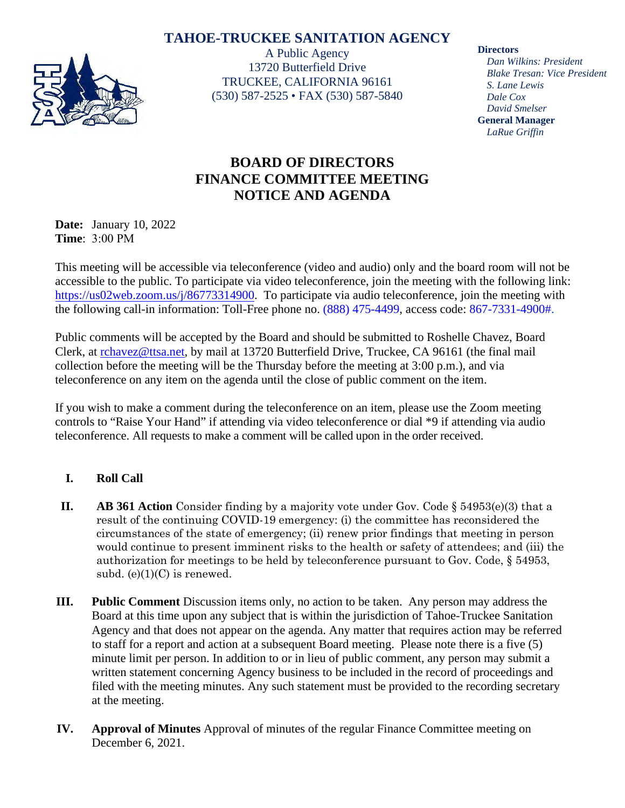## **TAHOE-TRUCKEE SANITATION AGENCY**



A Public Agency 13720 Butterfield Drive TRUCKEE, CALIFORNIA 96161 (530) 587-2525 • FAX (530) 587-5840 **Directors**

*Dan Wilkins: President Blake Tresan: Vice President S. Lane Lewis Dale Cox David Smelser* **General Manager** *LaRue Griffin*

## **BOARD OF DIRECTORS FINANCE COMMITTEE MEETING NOTICE AND AGENDA**

**Date:** January 10, 2022 **Time**: 3:00 PM

This meeting will be accessible via teleconference (video and audio) only and the board room will not be accessible to the public. To participate via video teleconference, join the meeting with the following link: [https://us02web.zoom.us/j/86773314900.](https://us02web.zoom.us/j/86773314900) To participate via audio teleconference, join the meeting with the following call-in information: Toll-Free phone no. (888) 475-4499, access code: 867-7331-4900#.

Public comments will be accepted by the Board and should be submitted to Roshelle Chavez, Board Clerk, at [rchavez@ttsa.net,](mailto:rchavez@ttsa.net) by mail at 13720 Butterfield Drive, Truckee, CA 96161 (the final mail collection before the meeting will be the Thursday before the meeting at 3:00 p.m.), and via teleconference on any item on the agenda until the close of public comment on the item.

If you wish to make a comment during the teleconference on an item, please use the Zoom meeting controls to "Raise Your Hand" if attending via video teleconference or dial \*9 if attending via audio teleconference. All requests to make a comment will be called upon in the order received.

## **I. Roll Call**

- **II. AB 361 Action** Consider finding by a majority vote under Gov. Code § 54953(e)(3) that a result of the continuing COVID-19 emergency: (i) the committee has reconsidered the circumstances of the state of emergency; (ii) renew prior findings that meeting in person would continue to present imminent risks to the health or safety of attendees; and (iii) the authorization for meetings to be held by teleconference pursuant to Gov. Code, § 54953, subd.  $(e)(1)(C)$  is renewed.
- **III. Public Comment** Discussion items only, no action to be taken. Any person may address the Board at this time upon any subject that is within the jurisdiction of Tahoe-Truckee Sanitation Agency and that does not appear on the agenda. Any matter that requires action may be referred to staff for a report and action at a subsequent Board meeting. Please note there is a five (5) minute limit per person. In addition to or in lieu of public comment, any person may submit a written statement concerning Agency business to be included in the record of proceedings and filed with the meeting minutes. Any such statement must be provided to the recording secretary at the meeting.
- **IV. Approval of Minutes** Approval of minutes of the regular Finance Committee meeting on December 6, 2021.